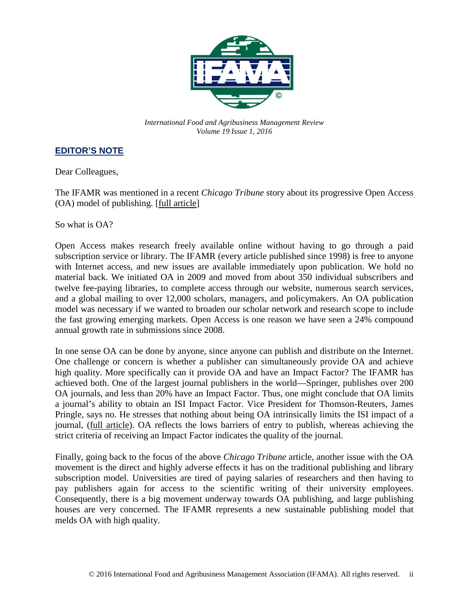

*International Food and Agribusiness Management Review Volume 19 Issue 1, 2016*

## **EDITOR'S NOTE**

Dear Colleagues,

The IFAMR was mentioned in a recent *Chicago Tribune* story about its progressive Open Access (OA) model of publishing. [\[full article\]](http://www.chicagotribune.com/%20suburbs/%20highland-park/news/ct-aaron-swartz-open-access-met-20160117-story.html)

So what is OA?

Open Access makes research freely available online without having to go through a paid subscription service or library. The IFAMR (every article published since 1998) is free to anyone with Internet access, and new issues are available immediately upon publication. We hold no material back. We initiated OA in 2009 and moved from about 350 individual subscribers and twelve fee-paying libraries, to complete access through our website, numerous search services, and a global mailing to over 12,000 scholars, managers, and policymakers. An OA publication model was necessary if we wanted to broaden our scholar network and research scope to include the fast growing emerging markets. Open Access is one reason we have seen a 24% compound annual growth rate in submissions since 2008.

In one sense OA can be done by anyone, since anyone can publish and distribute on the Internet. One challenge or concern is whether a publisher can simultaneously provide OA and achieve high quality. More specifically can it provide OA and have an Impact Factor? The IFAMR has achieved both. One of the largest journal publishers in the world—Springer, publishes over 200 OA journals, and less than 20% have an Impact Factor. Thus, one might conclude that OA limits a journal's ability to obtain an ISI Impact Factor. Vice President for Thomson-Reuters, James Pringle, says no. He stresses that nothing about being OA intrinsically limits the ISI impact of a journal, (full [article\)](http://www.nature.com/nature/focus/accessdebate/19.html). OA reflects the lows barriers of entry to publish, whereas achieving the strict criteria of receiving an Impact Factor indicates the quality of the journal.

Finally, going back to the focus of the above *Chicago Tribune* article, another issue with the OA movement is the direct and highly adverse effects it has on the traditional publishing and library subscription model. Universities are tired of paying salaries of researchers and then having to pay publishers again for access to the scientific writing of their university employees. Consequently, there is a big movement underway towards OA publishing, and large publishing houses are very concerned. The IFAMR represents a new sustainable publishing model that melds OA with high quality.